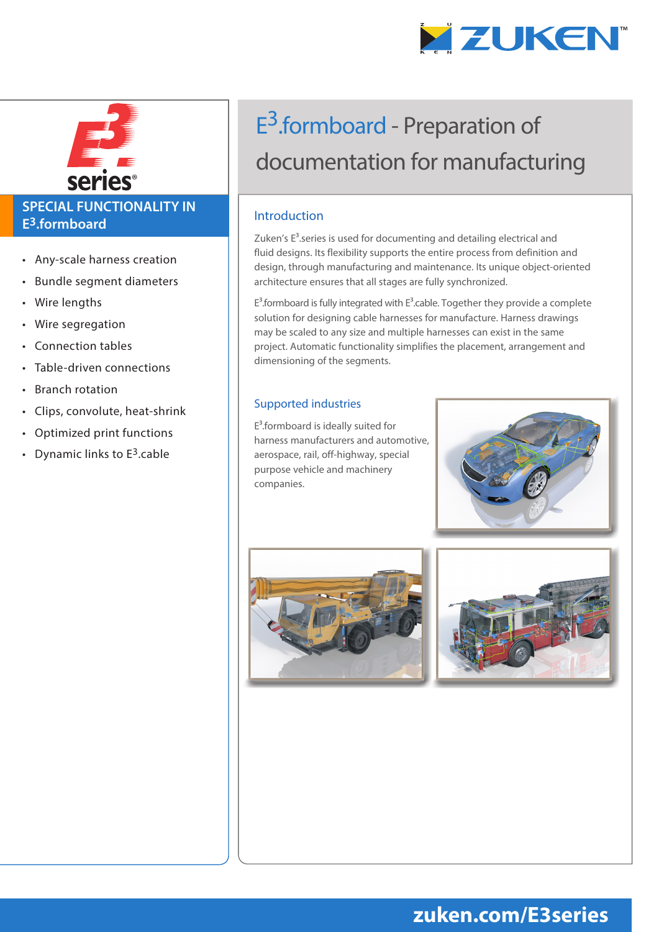



#### **SPECIAL FUNCTIONALITY IN E3.formboard**

- Any-scale harness creation
- Bundle segment diameters
- Wire lengths
- Wire segregation
- Connection tables
- Table-driven connections
- Branch rotation
- Clips, convolute, heat-shrink
- Optimized print functions
- Dynamic links to  $E^3$  cable

# E<sup>3</sup>.formboard - Preparation of documentation for manufacturing

#### Introduction

Zuken's  $E<sup>3</sup>$ .series is used for documenting and detailing electrical and fluid designs. Its flexibility supports the entire process from definition and design, through manufacturing and maintenance. Its unique object-oriented architecture ensures that all stages are fully synchronized.

 $E^3$ .formboard is fully integrated with  $E^3$ .cable. Together they provide a complete solution for designing cable harnesses for manufacture. Harness drawings may be scaled to any size and multiple harnesses can exist in the same project. Automatic functionality simplifies the placement, arrangement and dimensioning of the segments.

#### Supported industries

 $E<sup>3</sup>$ .formboard is ideally suited for harness manufacturers and automotive, aerospace, rail, off-highway, special purpose vehicle and machinery companies.







## **zuken.com/E3series**